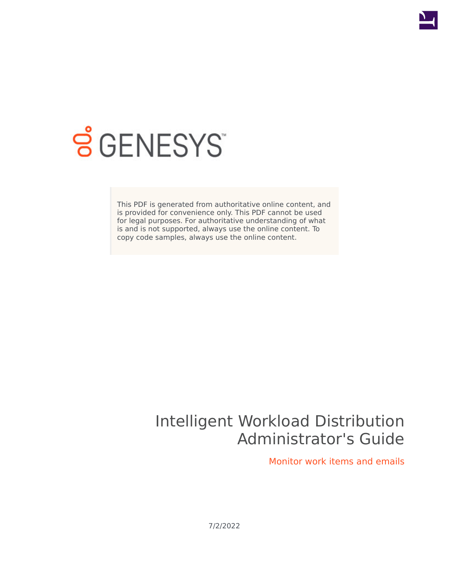

# **SGENESYS**

This PDF is generated from authoritative online content, and is provided for convenience only. This PDF cannot be used for legal purposes. For authoritative understanding of what is and is not supported, always use the online content. To copy code samples, always use the online content.

# Intelligent Workload Distribution Administrator's Guide

Monitor work items and emails

7/2/2022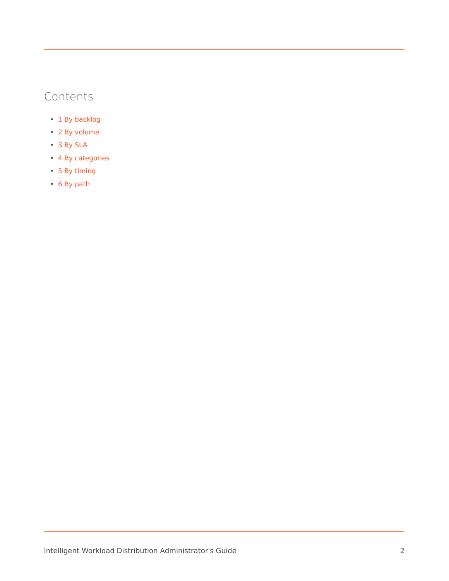# Contents

- 1 [By backlog](#page-2-0)
- 2 [By volume](#page-4-0)
- 3 [By SLA](#page-5-0)
- 4 [By categories](#page-5-1)
- 5 [By timing](#page-6-0)
- 6 [By path](#page-7-0)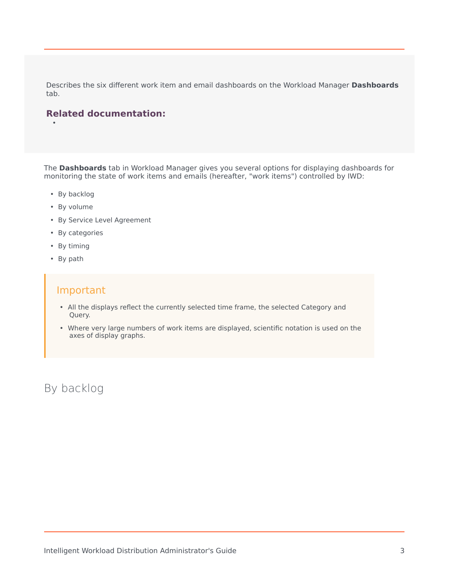Describes the six different work item and email dashboards on the Workload Manager **Dashboards** tab.

## **Related documentation:**

The **Dashboards** tab in Workload Manager gives you several options for displaying dashboards for monitoring the state of work items and emails (hereafter, "work items") controlled by IWD:

• By backlog

•

- By volume
- By Service Level Agreement
- By categories
- By timing
- By path

## Important

- All the displays reflect the currently selected time frame, the selected Category and Query.
- Where very large numbers of work items are displayed, scientific notation is used on the axes of display graphs.

<span id="page-2-0"></span>By backlog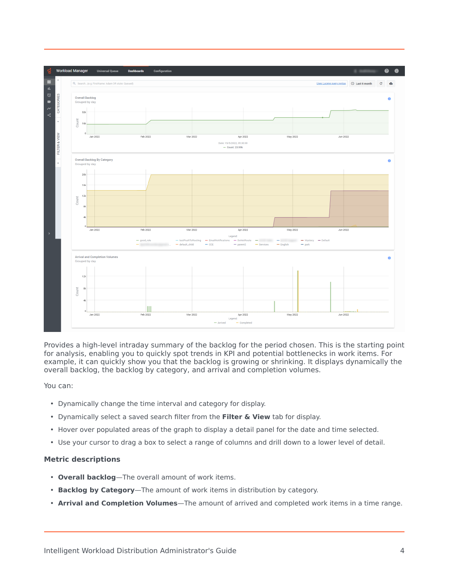

Provides a high-level intraday summary of the backlog for the period chosen. This is the starting point for analysis, enabling you to quickly spot trends in KPI and potential bottlenecks in work items. For example, it can quickly show you that the backlog is growing or shrinking. It displays dynamically the overall backlog, the backlog by category, and arrival and completion volumes.

You can:

- Dynamically change the time interval and category for display.
- Dynamically select a saved search filter from the **Filter & View** tab for display.
- Hover over populated areas of the graph to display a detail panel for the date and time selected.
- Use your cursor to drag a box to select a range of columns and drill down to a lower level of detail.

### **Metric descriptions**

- **Overall backlog**—The overall amount of work items.
- **Backlog by Category**—The amount of work items in distribution by category.
- **Arrival and Completion Volumes**—The amount of arrived and completed work items in a time range.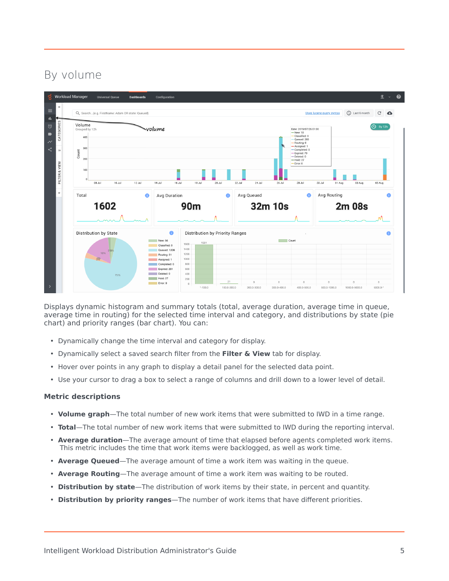# By volume

<span id="page-4-0"></span>

Displays dynamic histogram and summary totals (total, average duration, average time in queue, average time in routing) for the selected time interval and category, and distributions by state (pie chart) and priority ranges (bar chart). You can:

- Dynamically change the time interval and category for display.
- Dynamically select a saved search filter from the **Filter & View** tab for display.
- Hover over points in any graph to display a detail panel for the selected data point.
- Use your cursor to drag a box to select a range of columns and drill down to a lower level of detail.

#### **Metric descriptions**

- **Volume graph**—The total number of new work items that were submitted to IWD in a time range.
- **Total**—The total number of new work items that were submitted to IWD during the reporting interval.
- **Average duration**—The average amount of time that elapsed before agents completed work items. This metric includes the time that work items were backlogged, as well as work time.
- **Average Queued**—The average amount of time a work item was waiting in the queue.
- **Average Routing**—The average amount of time a work item was waiting to be routed.
- **Distribution by state**—The distribution of work items by their state, in percent and quantity.
- **Distribution by priority ranges**—The number of work items that have different priorities.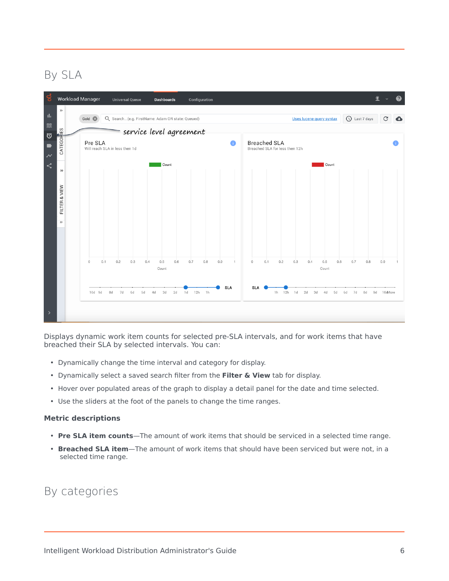# By SLA

<span id="page-5-0"></span>

Displays dynamic work item counts for selected pre-SLA intervals, and for work items that have breached their SLA by selected intervals. You can:

- Dynamically change the time interval and category for display.
- Dynamically select a saved search filter from the **Filter & View** tab for display.
- Hover over populated areas of the graph to display a detail panel for the date and time selected.
- Use the sliders at the foot of the panels to change the time ranges.

#### **Metric descriptions**

- **Pre SLA item counts**—The amount of work items that should be serviced in a selected time range.
- **Breached SLA item**—The amount of work items that should have been serviced but were not, in a selected time range.

## <span id="page-5-1"></span>By categories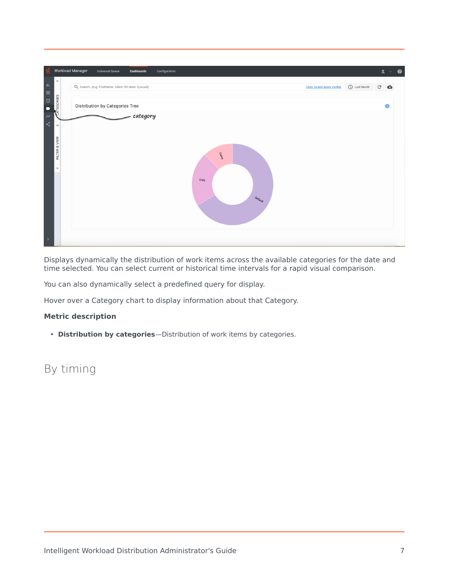

Displays dynamically the distribution of work items across the available categories for the date and time selected. You can select current or historical time intervals for a rapid visual comparison.

You can also dynamically select a predefined query for display.

Hover over a Category chart to display information about that Category.

## **Metric description**

• **Distribution by categories**—Distribution of work items by categories.

## <span id="page-6-0"></span>By timing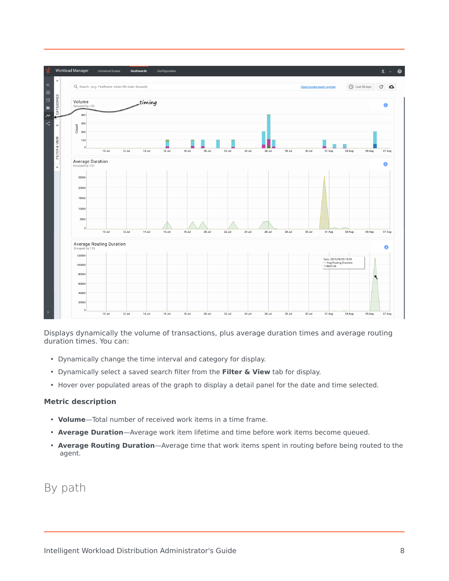

Displays dynamically the volume of transactions, plus average duration times and average routing duration times. You can:

- Dynamically change the time interval and category for display.
- Dynamically select a saved search filter from the **Filter & View** tab for display.
- Hover over populated areas of the graph to display a detail panel for the date and time selected.

#### **Metric description**

- **Volume**—Total number of received work items in a time frame.
- **Average Duration**—Average work item lifetime and time before work items become queued.
- **Average Routing Duration**—Average time that work items spent in routing before being routed to the agent.

## <span id="page-7-0"></span>By path